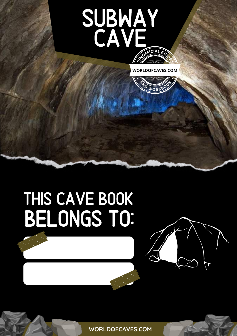## SUBWAY CAVE  $F$ **FICIAL**  $G$





# THIS CAVE BOOK BELONGS TO:

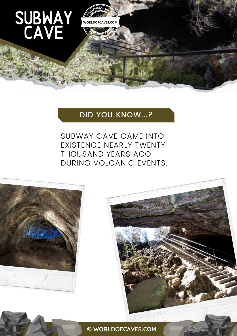#### **WORLDOFCAVES.COM**

**<sup>A</sup>N<sup>D</sup> <sup>W</sup>ORKBOO<sup>K</sup>**

**CCIEICIAL** 

### DID YOU KNOW...?

SUBWAY CAVE CAME INTO EXISTENCE NEARLY TWENTY THOUSAND YEARS AGO DURING VOLCANIC EVENTS.



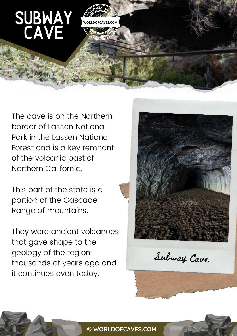**U C E E I D E E I D E E I D E E I D E** 

**WORLDOFCAVES.COM**

**<sup>A</sup>N<sup>D</sup> <sup>W</sup>ORKBOO<sup>K</sup>**

The cave is on the Northern border of Lassen National Park in the Lassen National Forest and is a key remnant of the volcanic past of Northern California.

This part of the state is a portion of the Cascade Range of mountains.

They were ancient volcanoes that gave shape to the geology of the region thousands of years ago and it continues even today.



Subway Cave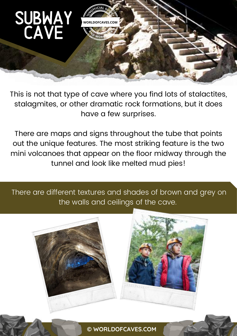

This is not that type of cave where you find lots of stalactites, stalagmites, or other dramatic rock formations, but it does have a few surprises.

There are maps and signs throughout the tube that points out the unique features. The most striking feature is the two mini volcanoes that appear on the floor midway through the tunnel and look like melted mud pies!

There are different textures and shades of brown and grey on the walls and ceilings of the cave.

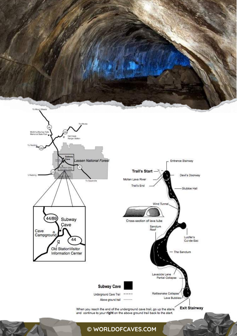![](_page_4_Picture_0.jpeg)

![](_page_4_Figure_1.jpeg)

![](_page_4_Figure_2.jpeg)

When you reach the end of the underground cave trail, go up the stairs and continue to your right on the above ground trail back to the start.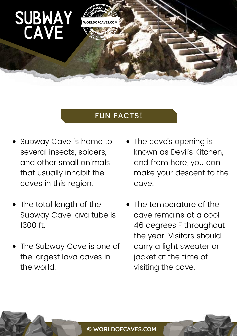#### FUN FACTS!

 $\frac{1}{2}$ 

**A**<br>A<sub>*D*</sub> *WORK* 

- Subway Cave is home to several insects, spiders, and other small animals that usually inhabit the caves in this region.
- The total length of the Subway Cave lava tube is 1300 ft.
- The Subway Cave is one of the largest lava caves in the world.
- The cave's opening is known as Devil's Kitchen, and from here, you can make your descent to the cave.
- The temperature of the cave remains at a cool 46 degrees F throughout the year. Visitors should carry a light sweater or jacket at the time of visiting the cave.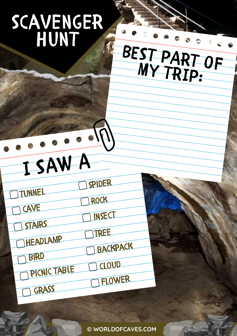# scavenger hunt

## $\overline{a}$ BEST PART OF MY TRIP:

I SAW A spider

TUNNEL

cave STAIRS

headlamp

**BIRD** 

picnic table

GRASS

TREE

backpack

cloud

Flower

**INSECT** 

rock

**Card**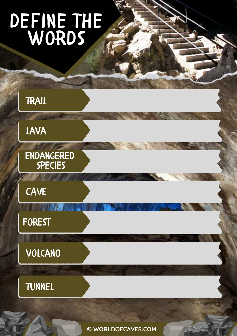# define the WORDS

![](_page_7_Figure_1.jpeg)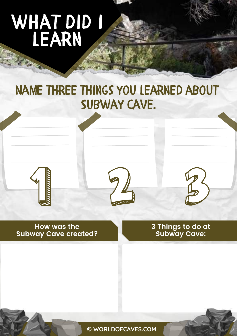# WHAT DID I **LEARN**

### Name three things you learned about Subway Cave.

![](_page_8_Picture_2.jpeg)

![](_page_8_Picture_3.jpeg)

![](_page_8_Picture_4.jpeg)

**How was the Subway Cave created?** **3 Things to do at Subway Cave:**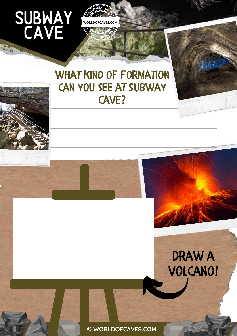Zuen.

### WHAT KIND OF FORMATION can you see at Subway CAVE?

**COFFICIAL GUIDE** 

**WORLDOFCAVES.COM**

**<sup>A</sup>N<sup>D</sup> <sup>W</sup>ORKBOO<sup>K</sup>**

![](_page_9_Picture_2.jpeg)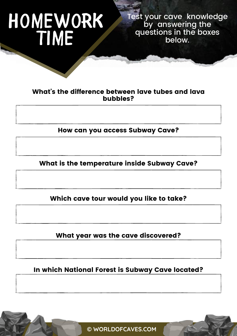# homework **TIME**

Test your cave knowledge by answering the questions in the boxes below.

#### What's the difference between lave tubes and lava bubbles?

How can you access Subway Cave?

What is the temperature inside Subway Cave?

Which cave tour would you like to take?

What year was the cave discovered?

In which National Forest is Subway Cave located?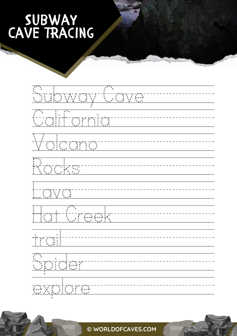## Subway CAVE TRACING

![](_page_11_Figure_1.jpeg)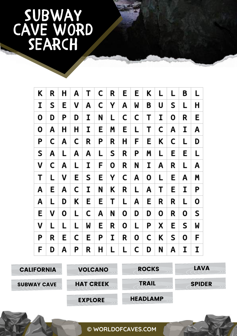## Subway CAVE WORD **SEARCH**

| K  | R | Η | Α  | Т | $\mathsf{C}$ | R | E. | E | Κ | L  | L | B | L |
|----|---|---|----|---|--------------|---|----|---|---|----|---|---|---|
| I  | S | E | V  | Α | C            | Y | Α  | M | B | U  | S | L | Н |
| 0  | D | Ρ | D  | I | N            | L | C  | C | Т | I  | 0 | R | Е |
| 0  | A | Н | Н  | I | E.           | Μ | E  | Г | Т | C  | A | I | A |
| P  | C | A | C  | R | P            | R | Н  | F | Ε | Κ  | C | L | D |
| S  | A | L | A  | Α | L.           | S | R  | Ρ | Μ | L  | E | E | L |
| v  | C | Α | L  | I | F            | 0 | R  | N | I | A  | R | L | A |
| Т  | L | v | E. | S | E.           | Υ | C  | Α | 0 | L. | E | A | Μ |
| A  | E | A | C  | I | N            | K | R  | L | A | Т  | E | I | P |
| Α  | L | D | K  | E | Е            | Т | L  | Α | Е | R  | R | L | 0 |
| E. | ٧ | 0 | L  | C | A            | N | 0  | D | D | О  | R | 0 | S |
| v  | L | L | L  | W | Е            | R | О  | L | Ρ | X  | Е | S | M |
| Ρ  | R | E | C  | Е | P            | I | R  | 0 | C | Κ  | S | 0 | F |
| F  | D | Α | Ρ  | R | н            | L | L  | C | D | N  | Α | I | I |

![](_page_12_Picture_2.jpeg)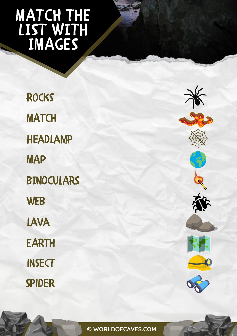## MATCH THE LIST WITH IMAGES

**ROCKS MATCH** headlamp MAP BINOCULARS **WEB** lava EARTH **INSECT** spider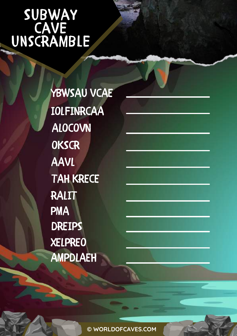### Subway **CAVE** unscramble

YBWSAU VCAE IOLFINRCAA ALOCOVN **OKSCR** AAVL TAH KRECE RALIT PMA DREIPS XELPREO AMPDLAEH